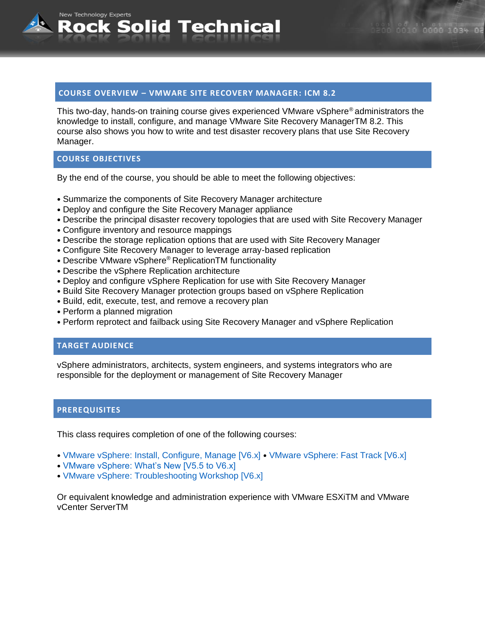## **COURSE OVERVIEW – VMWARE SITE RECOVERY MANAGER: ICM 8.2**

**Rock Solid Technical** 

This two-day, hands-on training course gives experienced VMware vSphere® administrators the knowledge to install, configure, and manage VMware Site Recovery ManagerTM 8.2. This course also shows you how to write and test disaster recovery plans that use Site Recovery Manager.

## **COURSE OBJECTIVES**

New Technology Experts

By the end of the course, you should be able to meet the following objectives:

- Summarize the components of Site Recovery Manager architecture
- Deploy and configure the Site Recovery Manager appliance
- Describe the principal disaster recovery topologies that are used with Site Recovery Manager
- Configure inventory and resource mappings
- Describe the storage replication options that are used with Site Recovery Manager
- Configure Site Recovery Manager to leverage array-based replication
- Describe VMware vSphere® ReplicationTM functionality
- Describe the vSphere Replication architecture
- Deploy and configure vSphere Replication for use with Site Recovery Manager
- Build Site Recovery Manager protection groups based on vSphere Replication
- Build, edit, execute, test, and remove a recovery plan
- Perform a planned migration
- Perform reprotect and failback using Site Recovery Manager and vSphere Replication

## **TARGET AUDIENCE**

vSphere administrators, architects, system engineers, and systems integrators who are responsible for the deployment or management of Site Recovery Manager

#### **PREREQUISITES**

This class requires completion of one of the following courses:

- VMware vSphere: Install, Configure, Manage [V6.x] VMware vSphere: Fast Track [V6.x]
- VMware vSphere: What's New [V5.5 to V6.x]
- VMware vSphere: Troubleshooting Workshop [V6.x]

Or equivalent knowledge and administration experience with VMware ESXiTM and VMware vCenter ServerTM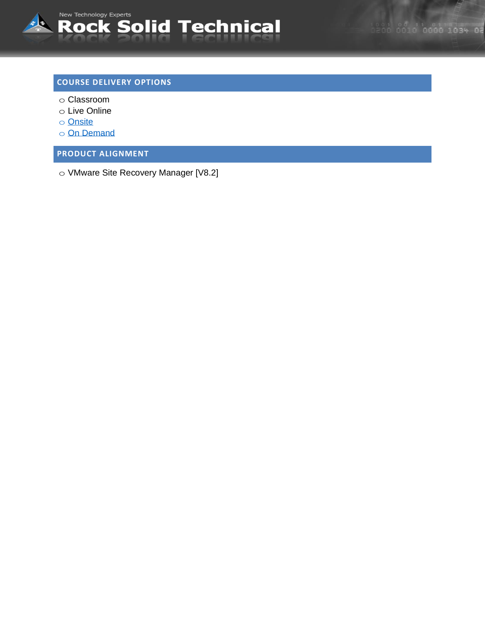

# **COURSE DELIVERY OPTIONS**

- o Classroom
- o Live Online
- o [Onsite](mailto:sales@rocksolidtechnical.com?subject=On-Site%20Inquiry)
- o [On Demand](mailto:sales@rocksolidtechnical.com?subject=On%20Demand%20Inquiry)

**PRODUCT ALIGNMENT**

o VMware Site Recovery Manager [V8.2]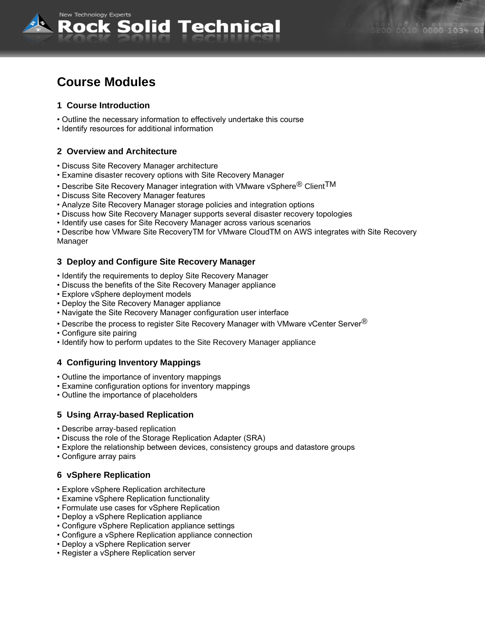

# **Course Modules**

# **1 Course Introduction**

- Outline the necessary information to effectively undertake this course
- Identify resources for additional information

# **2 Overview and Architecture**

- Discuss Site Recovery Manager architecture
- Examine disaster recovery options with Site Recovery Manager
- Describe Site Recovery Manager integration with VMware vSphere $^\circledR$  Client $\mathsf{T}\mathsf{M}$
- Discuss Site Recovery Manager features
- Analyze Site Recovery Manager storage policies and integration options
- Discuss how Site Recovery Manager supports several disaster recovery topologies
- Identify use cases for Site Recovery Manager across various scenarios

• Describe how VMware Site RecoveryTM for VMware CloudTM on AWS integrates with Site Recovery Manager

## **3 Deploy and Configure Site Recovery Manager**

- Identify the requirements to deploy Site Recovery Manager
- Discuss the benefits of the Site Recovery Manager appliance
- Explore vSphere deployment models
- Deploy the Site Recovery Manager appliance
- Navigate the Site Recovery Manager configuration user interface
- Describe the process to register Site Recovery Manager with VMware vCenter Server $^{\circledR}$
- Configure site pairing
- Identify how to perform updates to the Site Recovery Manager appliance

## **4 Configuring Inventory Mappings**

- Outline the importance of inventory mappings
- Examine configuration options for inventory mappings
- Outline the importance of placeholders

## **5 Using Array-based Replication**

- Describe array-based replication
- Discuss the role of the Storage Replication Adapter (SRA)
- Explore the relationship between devices, consistency groups and datastore groups
- Configure array pairs

## **6 vSphere Replication**

- Explore vSphere Replication architecture
- Examine vSphere Replication functionality
- Formulate use cases for vSphere Replication
- Deploy a vSphere Replication appliance
- Configure vSphere Replication appliance settings
- Configure a vSphere Replication appliance connection
- Deploy a vSphere Replication server
- Register a vSphere Replication server